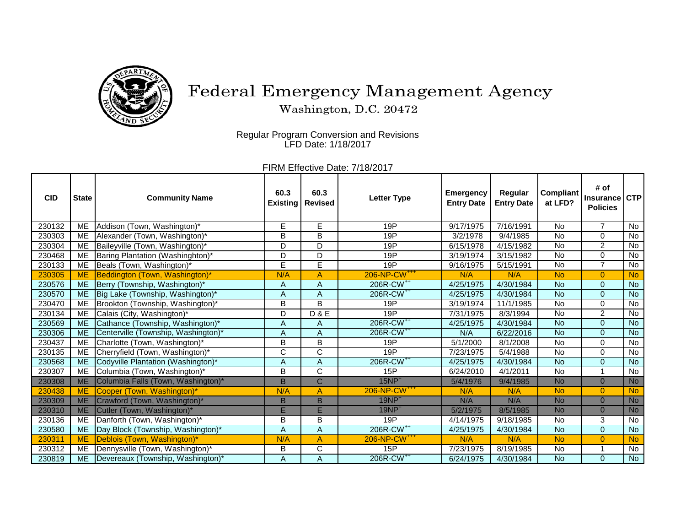

## Federal Emergency Management Agency

Washington, D.C. 20472

Regular Program Conversion and Revisions LFD Date: 1/18/2017

FIRM Effective Date: 7/18/2017

| <b>CID</b> | <b>State</b> | <b>Community Name</b>               | 60.3<br><b>Existing</b> | 60.3<br><b>Revised</b> | <b>Letter Type</b>       | <b>Emergency</b><br><b>Entry Date</b> | Regular<br><b>Entry Date</b> | <b>Compliant</b><br>at LFD? | # of<br><b>Insurance</b><br><b>Policies</b> | <b>CTP</b>     |
|------------|--------------|-------------------------------------|-------------------------|------------------------|--------------------------|---------------------------------------|------------------------------|-----------------------------|---------------------------------------------|----------------|
| 230132     | ME           | Addison (Town, Washington)*         | E                       | E                      | 19P                      | 9/17/1975                             | 7/16/1991                    | <b>No</b>                   | $\overline{7}$                              | <b>No</b>      |
| 230303     | ME           | Alexander (Town, Washington)*       | B                       | B                      | 19P                      | 3/2/1978                              | 9/4/1985                     | <b>No</b>                   | $\Omega$                                    | No             |
| 230304     | <b>ME</b>    | Baileyville (Town, Washington)*     | D                       | D                      | 19P                      | 6/15/1978                             | 4/15/1982                    | <b>No</b>                   | $\overline{2}$                              | No             |
| 230468     | ME           | Baring Plantation (Washinghton)*    | D                       | D                      | 19P                      | 3/19/1974                             | 3/15/1982                    | <b>No</b>                   | 0                                           | No             |
| 230133     | <b>ME</b>    | Beals (Town, Washington)*           | E                       | E                      | 19P                      | 9/16/1975                             | 5/15/1991                    | <b>No</b>                   | 7                                           | <b>No</b>      |
| 230305     | <b>ME</b>    | Beddington (Town, Washington)*      | N/A                     | A                      | 206-NP-CW <sup>+++</sup> | N/A                                   | N/A                          | <b>No</b>                   | $\overline{0}$                              | <b>No</b>      |
| 230576     | <b>ME</b>    | Berry (Township, Washington)*       | A                       | A                      | 206R-CW <sup>++</sup>    | 4/25/1975                             | 4/30/1984                    | <b>No</b>                   | $\overline{0}$                              | <b>No</b>      |
| 230570     | <b>ME</b>    | Big Lake (Township, Washington)*    | $\overline{A}$          | A                      | 206R-CW <sup>++</sup>    | 4/25/1975                             | 4/30/1984                    | <b>No</b>                   | $\Omega$                                    | $\overline{N}$ |
| 230470     | ME           | Brookton (Township, Washington)*    | B                       | B                      | 19P                      | 3/19/1974                             | 11/1/1985                    | No                          | 0                                           | $\overline{N}$ |
| 230134     | <b>ME</b>    | Calais (City, Washington)*          | D                       | D & E                  | 19P                      | 7/31/1975                             | 8/3/1994                     | <b>No</b>                   | $\overline{2}$                              | No             |
| 230569     | <b>ME</b>    | Cathance (Township, Washington)*    | A                       | A                      | 206R-CW <sup>++</sup>    | 4/25/1975                             | 4/30/1984                    | <b>No</b>                   | $\Omega$                                    | <b>No</b>      |
| 230306     | <b>ME</b>    | Centerville (Township, Washington)* | A                       | A                      | 206R-CW <sup>++</sup>    | N/A                                   | 6/22/2016                    | <b>No</b>                   | $\Omega$                                    | <b>No</b>      |
| 230437     | <b>ME</b>    | Charlotte (Town, Washington)*       | B                       | B                      | 19P                      | 5/1/2000                              | 8/1/2008                     | No                          | $\Omega$                                    | No             |
| 230135     | <b>ME</b>    | Cherryfield (Town, Washington)*     | C                       | C                      | 19P                      | 7/23/1975                             | 5/4/1988                     | <b>No</b>                   | 0                                           | No             |
| 230568     | <b>ME</b>    | Codyville Plantation (Washington)*  | A                       | A                      | 206R-CW <sup>++</sup>    | 4/25/1975                             | 4/30/1984                    | <b>No</b>                   | $\overline{0}$                              | <b>No</b>      |
| 230307     | <b>ME</b>    | Columbia (Town, Washington)*        | B                       | $\overline{C}$         | 15P                      | 6/24/2010                             | 4/1/2011                     | <b>No</b>                   | 1                                           | $\overline{N}$ |
| 230308     | <b>ME</b>    | Columbia Falls (Town, Washington)*  | B                       | $\overline{C}$         | $15NP+$                  | 5/4/1976                              | 9/4/1985                     | <b>No</b>                   | $\Omega$                                    | <b>No</b>      |
| 230438     | <b>ME</b>    | Cooper (Town, Washington)*          | N/A                     | A                      | 206-NP-CW <sup>+++</sup> | N/A                                   | N/A                          | <b>No</b>                   | $\overline{0}$                              | <b>No</b>      |
| 230309     | <b>ME</b>    | Crawford (Town, Washington)*        | B                       | <sub>B</sub>           | $19NP+$                  | N/A                                   | N/A                          | <b>No</b>                   | $\overline{0}$                              | <b>No</b>      |
| 230310     | <b>ME</b>    | Cutler (Town, Washington)*          | E                       | Ē                      | $19NP+$                  | 5/2/1975                              | 8/5/1985                     | <b>No</b>                   | $\Omega$                                    | <b>No</b>      |
| 230136     | <b>ME</b>    | Danforth (Town, Washington)*        | B                       | B                      | 19P                      | 4/14/1975                             | 9/18/1985                    | <b>No</b>                   | 3                                           | No             |
| 230580     | <b>ME</b>    | Day Block (Township, Washington)*   | A                       | $\overline{A}$         | 206R-CW <sup>++</sup>    | 4/25/1975                             | 4/30/1984                    | <b>No</b>                   | $\Omega$                                    | <b>No</b>      |
| 230311     | <b>ME</b>    | Deblois (Town, Washington)*         | N/A                     | A                      | 206-NP-CW <sup>+++</sup> | N/A                                   | N/A                          | <b>No</b>                   | $\overline{0}$                              | <b>No</b>      |
| 230312     | <b>ME</b>    | Dennysville (Town, Washington)*     | B                       | $\overline{C}$         | 15P                      | 7/23/1975                             | 8/19/1985                    | No                          | 1                                           | No             |
| 230819     | <b>ME</b>    | Devereaux (Township, Washington)*   | A                       | A                      | 206R-CW <sup>++</sup>    | 6/24/1975                             | 4/30/1984                    | <b>No</b>                   | $\Omega$                                    | <b>No</b>      |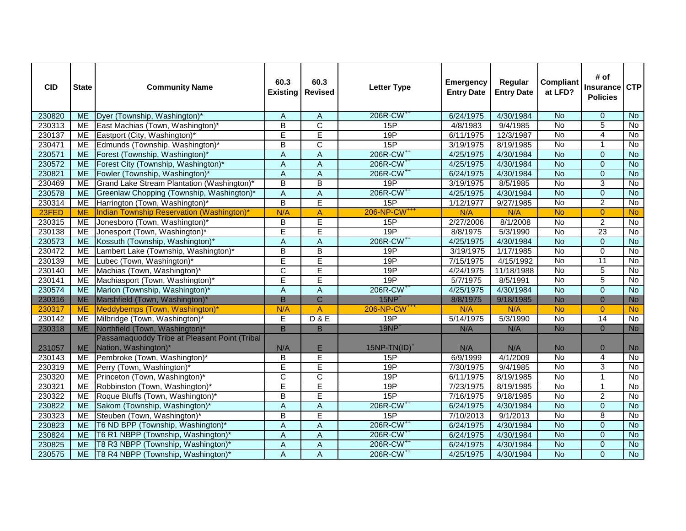| <b>CID</b> | <b>State</b> | <b>Community Name</b>                         | 60.3<br><b>Existing</b>   | 60.3<br><b>Revised</b>  | <b>Letter Type</b>       | <b>Emergency</b><br><b>Entry Date</b> | Regular<br><b>Entry Date</b> | <b>Compliant</b><br>at LFD? | # of<br>Insurance<br><b>Policies</b> | <b>CTP</b>     |
|------------|--------------|-----------------------------------------------|---------------------------|-------------------------|--------------------------|---------------------------------------|------------------------------|-----------------------------|--------------------------------------|----------------|
| 230820     | <b>ME</b>    | Dyer (Township, Washington)*                  | A                         | A                       | 206R-CW <sup>++</sup>    | 6/24/1975                             | 4/30/1984                    | <b>No</b>                   | $\Omega$                             | <b>No</b>      |
| 230313     | <b>ME</b>    | East Machias (Town, Washington)*              | B                         | $\overline{\text{c}}$   | 15P                      | 4/8/1983                              | 9/4/1985                     | No                          | 5                                    | <b>No</b>      |
| 230137     | <b>ME</b>    | Eastport (City, Washington)*                  | Ē                         | E                       | 19P                      | 6/11/1975                             | 12/3/1987                    | $\overline{N}$              | $\overline{4}$                       | No             |
| 230471     | <b>ME</b>    | Edmunds (Township, Washington)*               | B                         | $\overline{\text{c}}$   | 15P                      | 3/19/1975                             | 8/19/1985                    | $\overline{N}$              | $\overline{1}$                       | <b>No</b>      |
| 230571     | <b>ME</b>    | Forest (Township, Washington)*                | $\boldsymbol{\mathsf{A}}$ | $\mathsf A$             | 206R-CW <sup>++</sup>    | 4/25/1975                             | 4/30/1984                    | $\overline{N}$              | $\mathbf{0}$                         | $\overline{N}$ |
| 230572     | <b>ME</b>    | Forest City (Township, Washington)*           | $\boldsymbol{\mathsf{A}}$ | $\mathsf A$             | 206R-CW <sup>++</sup>    | 4/25/1975                             | 4/30/1984                    | <b>No</b>                   | $\mathbf 0$                          | $\overline{N}$ |
| 230821     | <b>ME</b>    | Fowler (Township, Washington)*                | A                         | A                       | 206R-CW <sup>++</sup>    | 6/24/1975                             | 4/30/1984                    | <b>No</b>                   | $\mathbf 0$                          | <b>No</b>      |
| 230469     | <b>ME</b>    | Grand Lake Stream Plantation (Washington)*    | B                         | $\overline{B}$          | 19P                      | 3/19/1975                             | 8/5/1985                     | No                          | $\overline{3}$                       | No             |
| 230578     | <b>ME</b>    | Greenlaw Chopping (Township, Washington)*     | $\boldsymbol{\mathsf{A}}$ | $\overline{A}$          | 206R-CW <sup>++</sup>    | 4/25/1975                             | 4/30/1984                    | <b>No</b>                   | $\mathbf 0$                          | $\overline{N}$ |
| 230314     | <b>ME</b>    | Harrington (Town, Washington)*                | $\overline{B}$            | Ē                       | 15P                      | 1/12/1977                             | 9/27/1985                    | No                          | $\overline{2}$                       | No             |
| 23FED      | <b>ME</b>    | Indian Township Reservation (Washington)*     | N/A                       | A                       | 206-NP-CW <sup>+++</sup> | N/A                                   | N/A                          | <b>No</b>                   | $\overline{0}$                       | <b>No</b>      |
| 230315     | <b>ME</b>    | Jonesboro (Town, Washington)*                 | $\overline{B}$            | Ē                       | 15P                      | 2/27/2006                             | 8/1/2008                     | <b>No</b>                   | $\overline{2}$                       | No             |
| 230138     | <b>ME</b>    | Jonesport (Town, Washington)*                 | Ē                         | Ē                       | 19P                      | $\sqrt{8/8/1975}$                     | 5/3/1990                     | No                          | 23                                   | No             |
| 230573     | <b>ME</b>    | Kossuth (Township, Washington)*               | $\overline{A}$            | $\overline{A}$          | 206R-CW <sup>++</sup>    | 4/25/1975                             | 4/30/1984                    | <b>No</b>                   | $\overline{0}$                       | <b>No</b>      |
| 230472     | <b>ME</b>    | Lambert Lake (Township, Washington)*          | $\overline{B}$            | $\overline{B}$          | 19P                      | 3/19/1975                             | 1/17/1985                    | $\overline{N}$              | $\mathbf 0$                          | $\overline{N}$ |
| 230139     | <b>ME</b>    | Lubec (Town, Washington)*                     | E                         | E                       | 19P                      | 7/15/1975                             | 4/15/1992                    | No                          | 11                                   | No             |
| 230140     | <b>ME</b>    | Machias (Town, Washington)*                   | $\overline{C}$            | E                       | 19P                      | 4/24/1975                             | 11/18/1988                   | No                          | $\overline{5}$                       | No             |
| 230141     | <b>ME</b>    | Machiasport (Town, Washington)*               | E                         | E                       | 19P                      | 5/7/1975                              | 8/5/1991                     | <b>No</b>                   | $\overline{5}$                       | $\overline{N}$ |
| 230574     | <b>ME</b>    | Marion (Township, Washington)*                | $\overline{A}$            | $\overline{A}$          | 206R-CW <sup>++</sup>    | 4/25/1975                             | 4/30/1984                    | $\overline{N}$              | $\mathbf 0$                          | $\overline{N}$ |
| 230316     | <b>ME</b>    | Marshfield (Town, Washington)*                | $\overline{B}$            | $\overline{\mathsf{C}}$ | $15NP+$                  | 8/8/1975                              | 9/18/1985                    | <b>No</b>                   | $\overline{0}$                       | <b>No</b>      |
| 230317     | <b>ME</b>    | Meddybemps (Town, Washington)*                | N/A                       | $\overline{A}$          | 206-NP-CW <sup>+++</sup> | N/A                                   | N/A                          | <b>No</b>                   | $\Omega$                             | <b>No</b>      |
| 230142     | <b>ME</b>    | Milbridge (Town, Washington)*                 | E                         | <b>D&amp;E</b>          | 19P                      | 5/14/1975                             | 5/3/1990                     | $\overline{N}$              | $\overline{14}$                      | No             |
| 230318     | <b>ME</b>    | Northfield (Town, Washington)*                | $\overline{B}$            | $\mathsf B$             | $19NP+$                  | N/A                                   | N/A                          | <b>No</b>                   | $\overline{0}$                       | <b>No</b>      |
|            |              | Passamaquoddy Tribe at Pleasant Point (Tribal |                           |                         |                          |                                       |                              |                             |                                      |                |
| 231057     | <b>ME</b>    | Nation, Washington)*                          | N/A                       | Е                       | $15NP-TN(ID)^+$          | N/A                                   | N/A                          | <b>No</b>                   | $\Omega$                             | <b>No</b>      |
| 230143     | <b>ME</b>    | Pembroke (Town, Washington)*                  | B                         | Ē                       | 15P                      | 6/9/1999                              | 4/1/2009                     | $\overline{N}$              | $\overline{4}$                       | $\overline{N}$ |
| 230319     | <b>ME</b>    | Perry (Town, Washington)*                     | E                         | E                       | 19P                      | 7/30/1975                             | 9/4/1985                     | $\overline{N}$              | 3                                    | <b>No</b>      |
| 230320     | <b>ME</b>    | Princeton (Town, Washington)*                 | C                         | $\overline{\text{c}}$   | 19P                      | 6/11/1975                             | 8/19/1985                    | $\overline{N}$              | $\overline{1}$                       | $\overline{N}$ |
| 230321     | <b>ME</b>    | Robbinston (Town, Washington)*                | Ē                         | Ē                       | 19P                      | 7/23/1975                             | 8/19/1985                    | No                          | 1                                    | $\overline{N}$ |
| 230322     | <b>ME</b>    | Roque Bluffs (Town, Washington)*              | B                         | Ē                       | 15P                      | 7/16/1975                             | 9/18/1985                    | No                          | $\overline{2}$                       | $\overline{N}$ |
| 230822     | <b>ME</b>    | Sakom (Township, Washington)*                 | $\boldsymbol{\mathsf{A}}$ | $\overline{A}$          | 206R-CW <sup>++</sup>    | 6/24/1975                             | 4/30/1984                    | $\overline{N}$              | $\mathbf{0}$                         | <b>No</b>      |
| 230323     | <b>ME</b>    | Steuben (Town, Washington)*                   | $\overline{\mathsf{B}}$   | Ē                       | 15P                      | 7/10/2013                             | 9/1/2013                     | <b>No</b>                   | $\overline{8}$                       | No             |
| 230823     | <b>ME</b>    | T6 ND BPP (Township, Washington)*             | $\boldsymbol{\mathsf{A}}$ | $\mathsf A$             | 206R-CW <sup>++</sup>    | 6/24/1975                             | 4/30/1984                    | $\overline{N}$              | $\mathbf{0}$                         | <b>No</b>      |
| 230824     | <b>ME</b>    | T6 R1 NBPP (Township, Washington)*            | A                         | A                       | 206R-CW <sup>++</sup>    | 6/24/1975                             | 4/30/1984                    | $\overline{N}$              | $\Omega$                             | <b>No</b>      |
| 230825     | <b>ME</b>    | T8 R3 NBPP (Township, Washington)*            | $\overline{A}$            | $\overline{A}$          | 206R-CW <sup>++</sup>    | 6/24/1975                             | 4/30/1984                    | <b>No</b>                   | $\mathbf 0$                          | $\overline{N}$ |
| 230575     | <b>ME</b>    | T8 R4 NBPP (Township, Washington)*            | $\overline{A}$            | $\overline{A}$          | 206R-CW <sup>++</sup>    | 4/25/1975                             | 4/30/1984                    | $\overline{N}$              | $\overline{0}$                       | $\overline{N}$ |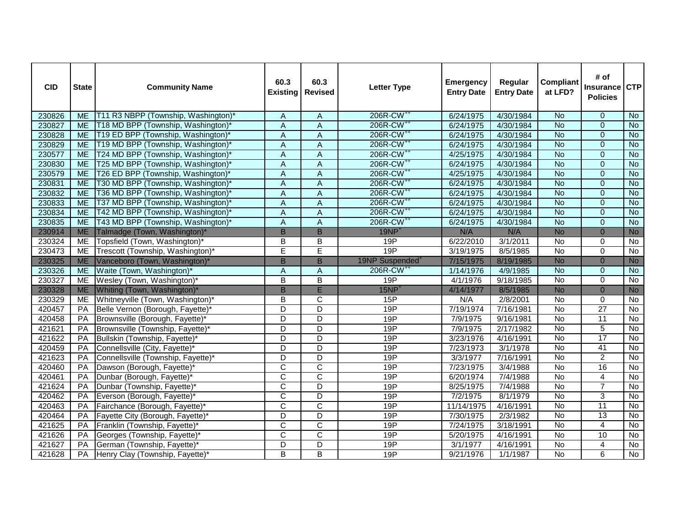| <b>CID</b> | <b>State</b>    | <b>Community Name</b>               | 60.3<br><b>Existing</b>   | 60.3<br><b>Revised</b>  | <b>Letter Type</b>          | <b>Emergency</b><br><b>Entry Date</b> | Regular<br><b>Entry Date</b> | <b>Compliant</b><br>at LFD? | # of<br>Insurance<br><b>Policies</b> | <b>CTP</b>     |
|------------|-----------------|-------------------------------------|---------------------------|-------------------------|-----------------------------|---------------------------------------|------------------------------|-----------------------------|--------------------------------------|----------------|
| 230826     | <b>ME</b>       | T11 R3 NBPP (Township, Washington)* | A                         | Α                       | 206R-CW <sup>++</sup>       | 6/24/1975                             | 4/30/1984                    | <b>No</b>                   | $\mathbf{0}$                         | <b>No</b>      |
| 230827     | <b>ME</b>       | T18 MD BPP (Township, Washington)*  | A                         | $\overline{A}$          | 206R-CW <sup>++</sup>       | 6/24/1975                             | 4/30/1984                    | <b>No</b>                   | $\Omega$                             | <b>No</b>      |
| 230828     | <b>ME</b>       | T19 ED BPP (Township, Washington)*  | $\overline{A}$            | A                       | 206R-CW <sup>++</sup>       | 6/24/1975                             | 4/30/1984                    | <b>No</b>                   | $\Omega$                             | <b>No</b>      |
| 230829     | <b>ME</b>       | T19 MD BPP (Township, Washington)*  | $\overline{A}$            | $\overline{A}$          | 206R-CW <sup>++</sup>       | 6/24/1975                             | 4/30/1984                    | <b>No</b>                   | $\overline{0}$                       | <b>No</b>      |
| 230577     | <b>ME</b>       | T24 MD BPP (Township, Washington)*  | $\boldsymbol{\mathsf{A}}$ | $\mathsf A$             | 206R-CW <sup>++</sup>       | 4/25/1975                             | 4/30/1984                    | $\overline{N}$              | $\Omega$                             | $\overline{N}$ |
| 230830     | <b>ME</b>       | T25 MD BPP (Township, Washington)*  | A                         | A                       | 206R-CW <sup>++</sup>       | 6/24/1975                             | 4/30/1984                    | <b>No</b>                   | $\Omega$                             | <b>No</b>      |
| 230579     | <b>ME</b>       | T26 ED BPP (Township, Washington)*  | $\overline{A}$            | $\overline{A}$          | 206R-CW <sup>++</sup>       | 4/25/1975                             | 4/30/1984                    | <b>No</b>                   | $\overline{0}$                       | No             |
| 230831     | <b>ME</b>       | T30 MD BPP (Township, Washington)*  | $\overline{A}$            | $\overline{A}$          | 206R-CW <sup>++</sup>       | 6/24/1975                             | 4/30/1984                    | <b>No</b>                   | $\overline{0}$                       | <b>No</b>      |
| 230832     | <b>ME</b>       | T36 MD BPP (Township, Washington)*  | $\boldsymbol{\mathsf{A}}$ | A                       | 206R-CW <sup>++</sup>       | 6/24/1975                             | 4/30/1984                    | <b>No</b>                   | $\Omega$                             | <b>No</b>      |
| 230833     | <b>ME</b>       | T37 MD BPP (Township, Washington)*  | A                         | A                       | 206R-CW <sup>++</sup>       | 6/24/1975                             | 4/30/1984                    | $\overline{N}$              | $\mathbf{0}$                         | <b>No</b>      |
| 230834     | <b>ME</b>       | T42 MD BPP (Township, Washington)*  | $\boldsymbol{\mathsf{A}}$ | $\overline{A}$          | 206R-CW <sup>++</sup>       | 6/24/1975                             | 4/30/1984                    | $\overline{N}$              | $\mathbf 0$                          | $\overline{N}$ |
| 230835     | <b>ME</b>       | T43 MD BPP (Township, Washington)*  | A                         | A                       | 206R-CW <sup>++</sup>       | 6/24/1975                             | 4/30/1984                    | <b>No</b>                   | $\overline{0}$                       | $\overline{N}$ |
| 230914     | <b>ME</b>       | Talmadge (Town, Washington)*        | $\overline{B}$            | $\overline{B}$          | $19NP+$                     | N/A                                   | N/A                          | <b>No</b>                   | $\overline{0}$                       | <b>No</b>      |
| 230324     | ME              | Topsfield (Town, Washington)*       | B                         | $\overline{B}$          | 19P                         | 6/22/2010                             | 3/1/2011                     | No                          | $\Omega$                             | No             |
| 230473     | <b>ME</b>       | Trescott (Township, Washington)*    | Ē                         | Ē                       | 19P                         | 3/19/1975                             | 8/5/1985                     | $\overline{N}$              | $\mathbf 0$                          | $\overline{N}$ |
| 230325     | <b>ME</b>       | Vanceboro (Town, Washington)*       | B                         | $\mathsf B$             | 19NP Suspended <sup>+</sup> | 7/15/1975                             | 8/19/1985                    | <b>No</b>                   | $\Omega$                             | <b>No</b>      |
| 230326     | <b>ME</b>       | Waite (Town, Washington)*           | A                         | A                       | 206R-CW <sup>++</sup>       | 1/14/1976                             | 4/9/1985                     | <b>No</b>                   | $\mathbf{0}$                         | $\overline{N}$ |
| 230327     | <b>ME</b>       | Wesley (Town, Washington)*          | $\overline{B}$            | $\overline{B}$          | 19P                         | 4/1/1976                              | 9/18/1985                    | <b>No</b>                   | $\mathbf 0$                          | $\overline{N}$ |
| 230328     | <b>ME</b>       | Whiting (Town, Washington)*         | $\overline{B}$            | E                       | 15NP <sup>1</sup>           | 4/14/1977                             | 8/5/1985                     | <b>No</b>                   | $\overline{0}$                       | <b>No</b>      |
| 230329     | ME              | Whitneyville (Town, Washington)*    | B                         | C                       | 15P                         | N/A                                   | 2/8/2001                     | No                          | $\Omega$                             | No             |
| 420457     | PA              | Belle Vernon (Borough, Fayette)*    | $\overline{D}$            | $\overline{\mathsf{D}}$ | 19P                         | 7/19/1974                             | 7/16/1981                    | No                          | 27                                   | No             |
| 420458     | PA              | Brownsville (Borough, Fayette)*     | D                         | D                       | 19P                         | 7/9/1975                              | 9/16/1981                    | <b>No</b>                   | $\overline{11}$                      | No             |
| 421621     | PA              | Brownsville (Township, Fayette)*    | D                         | D                       | 19P                         | 7/9/1975                              | 2/17/1982                    | No                          | 5                                    | No             |
| 421622     | PA              | Bullskin (Township, Fayette)*       | $\overline{\mathsf{D}}$   | $\overline{\mathsf{D}}$ | 19P                         | 3/23/1976                             | 4/16/1991                    | <b>No</b>                   | 17                                   | N <sub>o</sub> |
| 420459     | PA              | Connellsville (City, Fayette)*      | $\overline{\mathsf{D}}$   | $\overline{\mathsf{D}}$ | 19P                         | 7/23/1973                             | 3/1/1978                     | <b>No</b>                   | 41                                   | No             |
| 421623     | PA              | Connellsville (Township, Fayette)*  | $\overline{D}$            | D                       | 19P                         | 3/3/1977                              | 7/16/1991                    | $\overline{N}$              | $\overline{2}$                       | $\overline{N}$ |
| 420460     | PA              | Dawson (Borough, Fayette)*          | C                         | C                       | 19P                         | 7/23/1975                             | 3/4/1988                     | $\overline{N}$              | 16                                   | $\overline{N}$ |
| 420461     | PA              | Dunbar (Borough, Fayette)*          | $\overline{\text{c}}$     | $\overline{\text{c}}$   | 19P                         | 6/20/1974                             | 7/4/1988                     | <b>No</b>                   | $\overline{4}$                       | $\overline{N}$ |
| 421624     | PA              | Dunbar (Township, Fayette)*         | $\overline{\mathsf{c}}$   | $\overline{D}$          | 19P                         | 8/25/1975                             | 7/4/1988                     | <b>No</b>                   | $\overline{7}$                       | $\overline{N}$ |
| 420462     | PA              | Everson (Borough, Fayette)*         | $\overline{\mathsf{C}}$   | $\overline{D}$          | 19P                         | 7/2/1975                              | 8/1/1979                     | <b>No</b>                   | 3                                    | <b>No</b>      |
| 420463     | PA              | Fairchance (Borough, Fayette)*      | $\overline{\text{c}}$     | $\overline{\text{c}}$   | 19P                         | 11/14/1975                            | 4/16/1991                    | <b>No</b>                   | 11                                   | $\overline{N}$ |
| 420464     | PA              | Fayette City (Borough, Fayette)*    | $\overline{\mathsf{D}}$   | $\overline{\mathsf{D}}$ | 19P                         | 7/30/1975                             | 2/3/1982                     | No                          | 13                                   | No             |
| 421625     | PA              | Franklin (Township, Fayette)*       | $\overline{\text{c}}$     | $\overline{\text{c}}$   | 19P                         | 7/24/1975                             | 3/18/1991                    | $\overline{N}$              | $\overline{4}$                       | <b>No</b>      |
| 421626     | PA              | Georges (Township, Fayette)*        | $\overline{C}$            | $\overline{\text{c}}$   | 19P                         | 5/20/1975                             | 4/16/1991                    | <b>No</b>                   | 10                                   | $\overline{N}$ |
| 421627     | $\overline{PA}$ | German (Township, Fayette)*         | D                         | $\overline{D}$          | 19P                         | 3/1/1977                              | $\frac{1}{4}$ 16/1991        | $\overline{N}$              | $\overline{4}$                       | $\overline{N}$ |
| 421628     | PA              | Henry Clay (Township, Fayette)*     | B                         | B                       | 19P                         | 9/21/1976                             | 1/1/1987                     | No                          | 6                                    | <b>No</b>      |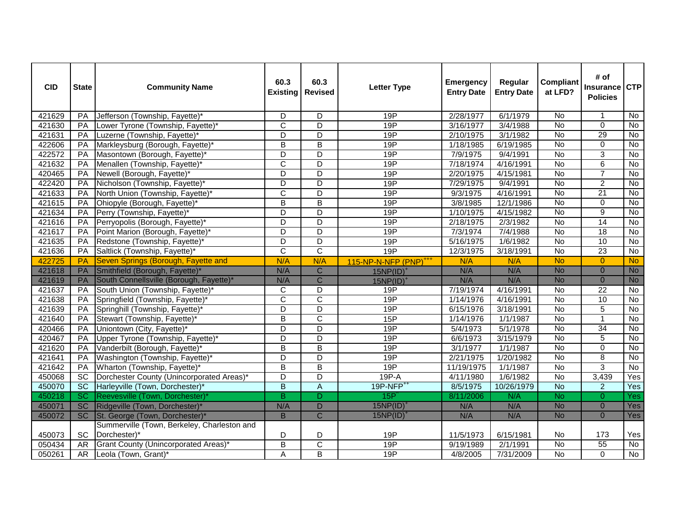| <b>CID</b> | <b>State</b>    | <b>Community Name</b>                       | 60.3<br><b>Existing</b> | 60.3<br><b>Revised</b>  | <b>Letter Type</b>                | <b>Emergency</b><br><b>Entry Date</b> | Regular<br><b>Entry Date</b> | <b>Compliant</b><br>at LFD? | # of<br>Insurance<br><b>Policies</b> | <b>CTP</b>     |
|------------|-----------------|---------------------------------------------|-------------------------|-------------------------|-----------------------------------|---------------------------------------|------------------------------|-----------------------------|--------------------------------------|----------------|
| 421629     | PA              | Jefferson (Township, Fayette)*              | D                       | D                       | 19P                               | 2/28/1977                             | 6/1/1979                     | <b>No</b>                   | -1                                   | <b>No</b>      |
| 421630     | PA              | Lower Tyrone (Township, Fayette)*           | $\overline{C}$          | D                       | 19P                               | 3/16/1977                             | 3/4/1988                     | No                          | $\Omega$                             | <b>No</b>      |
| 421631     | PA              | Luzerne (Township, Fayette)*                | $\overline{\mathsf{D}}$ | $\overline{\mathsf{D}}$ | 19P                               | 2/10/1975                             | 3/1/1982                     | $\overline{N}$              | 29                                   | No             |
| 422606     | PA              | Markleysburg (Borough, Fayette)*            | B                       | $\overline{B}$          | 19P                               | 1/18/1985                             | 6/19/1985                    | $\overline{N}$              | $\Omega$                             | <b>No</b>      |
| 422572     | PA              | Masontown (Borough, Fayette)*               | D                       | D                       | 19P                               | 7/9/1975                              | 9/4/1991                     | $\overline{N}$              | 3                                    | $\overline{N}$ |
| 421632     | PA              | Menallen (Township, Fayette)*               | $\overline{\text{c}}$   | D                       | 19P                               | 7/18/1974                             | 4/16/1991                    | $\overline{N}$              | 6                                    | $\overline{N}$ |
| 420465     | PA              | Newell (Borough, Fayette)*                  | D                       | $\overline{D}$          | 19P                               | 2/20/1975                             | 4/15/1981                    | No                          | $\overline{7}$                       | <b>No</b>      |
| 422420     | PA              | Nicholson (Township, Fayette)*              | D                       | $\overline{\mathsf{D}}$ | 19P                               | 7/29/1975                             | 9/4/1991                     | No                          | $\overline{2}$                       | No             |
| 421633     | PA              | North Union (Township, Fayette)*            | $\overline{C}$          | $\overline{D}$          | 19P                               | 9/3/1975                              | 4/16/1991                    | $\overline{N}$              | $\overline{21}$                      | $\overline{N}$ |
| 421615     | PA              | Ohiopyle (Borough, Fayette)*                | $\overline{B}$          | B                       | 19P                               | 3/8/1985                              | 12/1/1986                    | <b>No</b>                   | $\mathbf 0$                          | <b>No</b>      |
| 421634     | PA              | Perry (Township, Fayette)*                  | D                       | D                       | 19P                               | 1/10/1975                             | 4/15/1982                    | No                          | 9                                    | <b>No</b>      |
| 421616     | PA              | Perryopolis (Borough, Fayette)*             | D                       | $\overline{\mathsf{D}}$ | 19P                               | 2/18/1975                             | 2/3/1982                     | <b>No</b>                   | 14                                   | No             |
| 421617     | PA              | Point Marion (Borough, Fayette)*            | D                       | D                       | 19P                               | 7/3/1974                              | 7/4/1988                     | No                          | 18                                   | No             |
| 421635     | PA              | Redstone (Township, Fayette)*               | $\overline{\mathsf{D}}$ | $\overline{\mathsf{D}}$ | 19P                               | 5/16/1975                             | 1/6/1982                     | <b>No</b>                   | 10                                   | No             |
| 421636     | PA              | Saltlick (Township, Fayette)*               | $\overline{\text{c}}$   | $\overline{\text{c}}$   | 19P                               | 12/3/1975                             | 3/18/1991                    | $\overline{N}$              | 23                                   | $\overline{N}$ |
| 422725     | <b>PA</b>       | Seven Springs (Borough, Fayette and         | N/A                     | N/A                     | 115-NP-N-NFP (PNP) <sup>+++</sup> | N/A                                   | N/A                          | <b>No</b>                   | $\Omega$                             | <b>No</b>      |
| 421618     | PA              | Smithfield (Borough, Fayette)*              | N/A                     | $\overline{\mathsf{C}}$ | $15NP(ID)^+$                      | N/A                                   | N/A                          | <b>No</b>                   | $\mathbf{0}$                         | <b>No</b>      |
| 421619     | PA              | South Connellsville (Borough, Fayette)*     | N/A                     | $\overline{C}$          | $15NP(ID)^+$                      | N/A                                   | N/A                          | <b>No</b>                   | $\mathbf{0}$                         | <b>No</b>      |
| 421637     | PA              | South Union (Township, Fayette)*            | C                       | D                       | 19P                               | 7/19/1974                             | 4/16/1991                    | No                          | $\overline{22}$                      | <b>No</b>      |
| 421638     | PA              | Springfield (Township, Fayette)*            | $\overline{\text{c}}$   | $\overline{\text{c}}$   | 19P                               | 1/14/1976                             | 4/16/1991                    | <b>No</b>                   | 10                                   | $\overline{N}$ |
| 421639     | PA              | Springhill (Township, Fayette)*             | D                       | $\overline{\mathsf{D}}$ | 19P                               | 6/15/1976                             | 3/18/1991                    | <b>No</b>                   | $\overline{5}$                       | No             |
| 421640     | PA              | Stewart (Township, Fayette)*                | B                       | C                       | 15P                               | 1/14/1976                             | 1/1/1987                     | $\overline{N}$              | $\mathbf{1}$                         | <b>No</b>      |
| 420466     | PA              | Uniontown (City, Fayette)*                  | D                       | $\overline{\mathsf{D}}$ | 19P                               | 5/4/1973                              | 5/1/1978                     | No                          | 34                                   | No             |
| 420467     | PA              | Upper Tyrone (Township, Fayette)*           | $\overline{D}$          | $\overline{D}$          | 19P                               | 6/6/1973                              | 3/15/1979                    | <b>No</b>                   | $\overline{5}$                       | No             |
| 421620     | PA              | Vanderbilt (Borough, Fayette)*              | B                       | B                       | 19P                               | 3/1/1977                              | 1/1/1987                     | <b>No</b>                   | $\Omega$                             | <b>No</b>      |
| 421641     | PA              | Washington (Township, Fayette)*             | $\overline{D}$          | D                       | 19P                               | 2/21/1975                             | 1/20/1982                    | $\overline{N}$              | 8                                    | $\overline{N}$ |
| 421642     | PA              | Wharton (Township, Fayette)*                | $\overline{B}$          | $\overline{B}$          | 19P                               | 11/19/1975                            | 1/1/1987                     | No                          | 3                                    | No             |
| 450068     | <b>SC</b>       | Dorchester County (Unincorporated Areas)*   | D                       | D                       | 19P-A                             | 4/11/1980                             | 1/6/1982                     | No                          | 3,439                                | Yes            |
| 450070     | $\overline{SC}$ | Harleyville (Town, Dorchester)*             | $\overline{B}$          | $\overline{A}$          | 19P-NFP <sup>++</sup>             | 8/5/1975                              | 10/26/1979                   | <b>No</b>                   | $\overline{c}$                       | Yes            |
| 450218     | $\overline{SC}$ | Reevesville (Town, Dorchester)*             | B                       | D                       | 15P                               | 8/11/2006                             | N/A                          | <b>No</b>                   | $\Omega$                             | <b>Yes</b>     |
| 450071     | SC              | Ridgeville (Town, Dorchester)*              | N/A                     | $\overline{D}$          | 15NP(ID)                          | N/A                                   | N/A                          | <b>No</b>                   | $\mathbf{0}$                         | Yes            |
| 450072     | SC              | St. George (Town, Dorchester)               | B                       | $\overline{\mathsf{C}}$ | 15NP(ID)                          | N/A                                   | N/A                          | <b>No</b>                   | $\Omega$                             | Yes            |
|            |                 | Summerville (Town, Berkeley, Charleston and |                         |                         |                                   |                                       |                              |                             |                                      |                |
| 450073     | <b>SC</b>       | Dorchester)*                                | D                       | D                       | 19P                               | 11/5/1973                             | 6/15/1981                    | No.                         | 173                                  | Yes            |
| 050434     | AR              | Grant County (Unincorporated Areas)*        | $\overline{B}$          | $\overline{\text{c}}$   | 19P                               | 9/19/1989                             | 2/1/1991                     | $\overline{N}$              | 55                                   | No             |
| 050261     | AR              | Leola (Town, Grant)*                        | A                       | $\overline{B}$          | 19P                               | 4/8/2005                              | 7/31/2009                    | $\overline{N}$              | $\Omega$                             | <b>No</b>      |